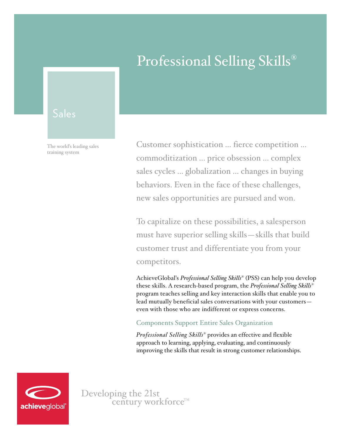# Professional Selling Skills®

# Sales

The world's leading sales training system

Customer sophistication ... fierce competition ... commoditization ... price obsession ... complex sales cycles ... globalization ... changes in buying behaviors. Even in the face of these challenges, new sales opportunities are pursued and won.

To capitalize on these possibilities, a salesperson must have superior selling skills—skills that build customer trust and differentiate you from your competitors.

AchieveGlobal's *Professional Selling Skills*® (PSS) can help you develop these skills. A research-based program, the *Professional Selling Skills*® program teaches selling and key interaction skills that enable you to lead mutually beneficial sales conversations with your customers even with those who are indifferent or express concerns.

#### Components Support Entire Sales Organization

*Professional Selling Skills*® provides an effective and flexible approach to learning, applying, evaluating, and continuously improving the skills that result in strong customer relationships.



Developing the 21st<br>century workforce<sup>TM</sup>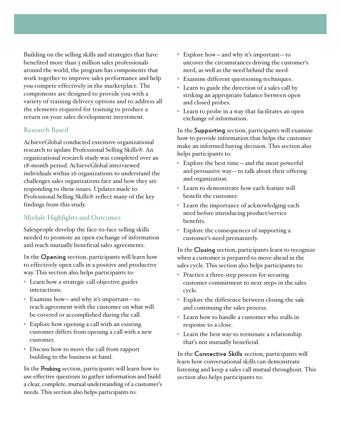Building on the selling skills and strategies that have benefited more than 3 million sales professionals around the world, the program has components that work together to improve sales performance and help you compete effectively in the marketplace. The components are designed to provide you with a variety of training delivery options and to address all the elements required for training to produce a return on your sales development investment.

# Research Based

AchieveGlobal conducted extensive organizational research to update Professional Selling Skills®. An organizational research study was completed over an 18-month period. AchieveGlobal interviewed individuals within 16 organizations to understand the challenges sales organizations face and how they are responding to these issues. Updates made to Professional Selling Skills® reflect many of the key findings from this study.

# Module Highlights and Outcomes

Salespeople develop the face-to-face selling skills needed to promote an open exchange of information and reach mutually beneficial sales agreements.

In the Opening section, participants will learn how to effectively open calls in a positive and productive way. This section also helps participants to:

- Learn how a strategic call objective guides interactions.
- Examine how—and why it's important—to reach agreement with the customer on what will be covered or accomplished during the call.
- Explore how opening a call with an existing customer differs from opening a call with a new customer.
- Discuss how to move the call from rapport building to the business at hand.

In the Probing section, participants will learn how to use effective questions to gather information and build a clear, complete, mutual understanding of a customer's needs. This section also helps participants to:

- Explore how—and why it's important—to uncover the circumstances driving the customer's need, as well as the need behind the need.
- Examine different questioning techniques.
- Learn to guide the direction of a sales call by striking an appropriate balance between open and closed probes.
- Learn to probe in a way that facilitates an open exchange of information.

In the Supporting section, participants will examine how to provide information that helps the customer make an informed buying decision. This section also helps participants to:

- Explore the best time—and the most powerful and persuasive way—to talk about their offering and organization.
- Learn to demonstrate how each feature will benefit the customer.
- Learn the importance of acknowledging each need before introducing product/service benefits.
- Explore the consequences of supporting a customer's need prematurely.

In the Closing section, participants learn to recognize when a customer is prepared to move ahead in the sales cycle. This section also helps participants to:

- Practice a three-step process for securing customer commitment to next steps in the sales cycle.
- Explore the difference between closing the sale and continuing the sales process.
- Learn how to handle a customer who stalls in response to a close.
- Learn the best way to terminate a relationship that's not mutually beneficial.

In the Connective Skills section, participants will learn how conversational skills can demonstrate listening and keep a sales call mutual throughout. This section also helps participants to: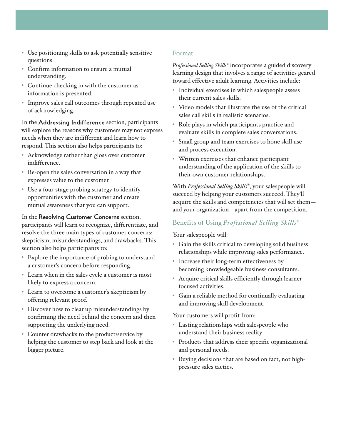- Use positioning skills to ask potentially sensitive questions.
- Confirm information to ensure a mutual understanding.
- Continue checking in with the customer as information is presented.
- Improve sales call outcomes through repeated use of acknowledging.

In the Addressing Indifference section, participants will explore the reasons why customers may not express needs when they are indifferent and learn how to respond. This section also helps participants to:

- Acknowledge rather than gloss over customer indifference.
- Re-open the sales conversation in a way that expresses value to the customer.
- Use a four-stage probing strategy to identify opportunities with the customer and create mutual awareness that you can support.

#### In the Resolving Customer Concerns section,

participants will learn to recognize, differentiate, and resolve the three main types of customer concerns: skepticism, misunderstandings, and drawbacks. This section also helps participants to:

- Explore the importance of probing to understand a customer's concern before responding.
- Learn when in the sales cycle a customer is most likely to express a concern.
- Learn to overcome a customer's skepticism by offering relevant proof.
- Discover how to clear up misunderstandings by confirming the need behind the concern and then supporting the underlying need.
- Counter drawbacks to the product/service by helping the customer to step back and look at the bigger picture.

#### Format

*Professional Selling Skills®* incorporates a guided discovery learning design that involves a range of activities geared toward effective adult learning. Activities include:

- Individual exercises in which salespeople assess their current sales skills.
- Video models that illustrate the use of the critical sales call skills in realistic scenarios.
- Role plays in which participants practice and evaluate skills in complete sales conversations.
- Small group and team exercises to hone skill use and process execution.
- Written exercises that enhance participant understanding of the application of the skills to their own customer relationships.

With *Professional Selling Skills®*, your salespeople will succeed by helping your customers succeed. They'll acquire the skills and competencies that will set them and your organization—apart from the competition.

# Benefits of Using *Professional Selling Skills*®

Your salespeople will:

- Gain the skills critical to developing solid business relationships while improving sales performance.
- Increase their long-term effectiveness by becoming knowledgeable business consultants.
- Acquire critical skills efficiently through learnerfocused activities.
- Gain a reliable method for continually evaluating and improving skill development.

Your customers will profit from:

- Lasting relationships with salespeople who understand their business reality.
- Products that address their specific organizational and personal needs.
- Buying decisions that are based on fact, not highpressure sales tactics.